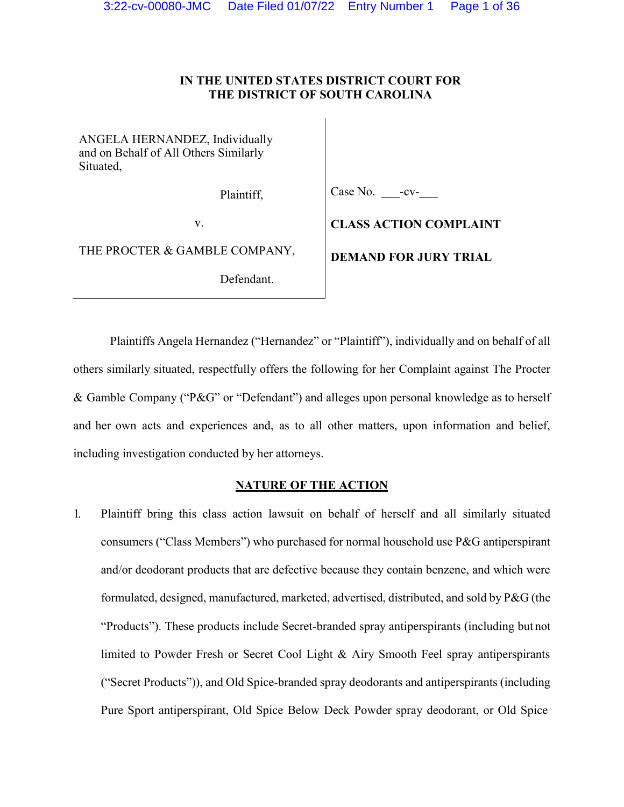## **IN THE UNITED STATES DISTRICT COURT FOR THE DISTRICT OF SOUTH CAROLINA**

ANGELA HERNANDEZ, Individually and on Behalf of All Others Similarly Situated,

Plaintiff,

Case No. **-**-cv-

v.

THE PROCTER & GAMBLE COMPANY,

Defendant.

**CLASS ACTION COMPLAINT** 

**DEMAND FOR JURY TRIAL**

Plaintiffs Angela Hernandez ("Hernandez" or "Plaintiff"), individually and on behalf of all others similarly situated, respectfully offers the following for her Complaint against The Procter & Gamble Company ( $P&G'$  or "Defendant") and alleges upon personal knowledge as to herself and her own acts and experiences and, as to all other matters, upon information and belief, including investigation conducted by her attorneys.

## **NATURE OF THE ACTION**

1. Plaintiff bring this class action lawsuit on behalf of herself and all similarly situated consumers ( $\lq$ Class Members'') who purchased for normal household use P&G antiperspirant and/or deodorant products that are defective because they contain benzene, and which were formulated, designed, manufactured, marketed, advertised, distributed, and sold by P&G (the ³Products´). These products include Secret-branded spray antiperspirants (including but not limited to Powder Fresh or Secret Cool Light & Airy Smooth Feel spray antiperspirants (³Secret Products´)), and Old Spice-branded spray deodorants and antiperspirants (including Pure Sport antiperspirant, Old Spice Below Deck Powder spray deodorant, or Old Spice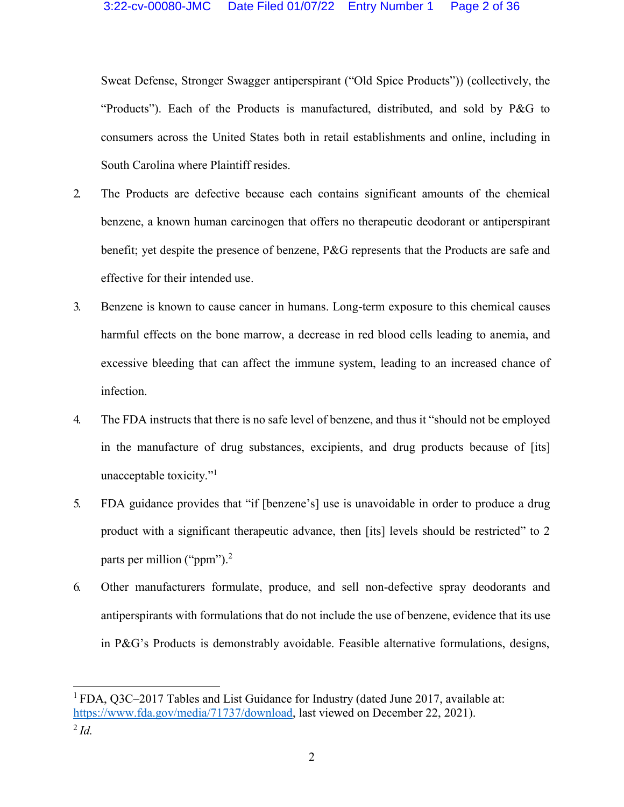Sweat Defense, Stronger Swagger antiperspirant ("Old Spice Products")) (collectively, the "Products"). Each of the Products is manufactured, distributed, and sold by P&G to consumers across the United States both in retail establishments and online, including in South Carolina where Plaintiff resides.

- 2. The Products are defective because each contains significant amounts of the chemical benzene, a known human carcinogen that offers no therapeutic deodorant or antiperspirant benefit; yet despite the presence of benzene, P&G represents that the Products are safe and effective for their intended use.
- 3. Benzene is known to cause cancer in humans. Long-term exposure to this chemical causes harmful effects on the bone marrow, a decrease in red blood cells leading to anemia, and excessive bleeding that can affect the immune system, leading to an increased chance of infection.
- 4. The FDA instructs that there is no safe level of benzene, and thus it "should not be employed in the manufacture of drug substances, excipients, and drug products because of [its] unacceptable toxicity. $\cdot$ <sup>1</sup>
- 5. FDA guidance provides that "if [benzene's] use is unavoidable in order to produce a drug product with a significant therapeutic advance, then [its] levels should be restricted" to  $2$ parts per million (" $ppm$ ").<sup>2</sup>
- 6. Other manufacturers formulate, produce, and sell non-defective spray deodorants and antiperspirants with formulations that do not include the use of benzene, evidence that its use in P&G's Products is demonstrably avoidable. Feasible alternative formulations, designs,

<sup>&</sup>lt;sup>1</sup> FDA, Q3C-2017 Tables and List Guidance for Industry (dated June 2017, available at: [https://www.fda.gov/media/71737/download,](http://www.fda.gov/media/71737/download) last viewed on December 22, 2021).

<sup>2</sup>*Id.*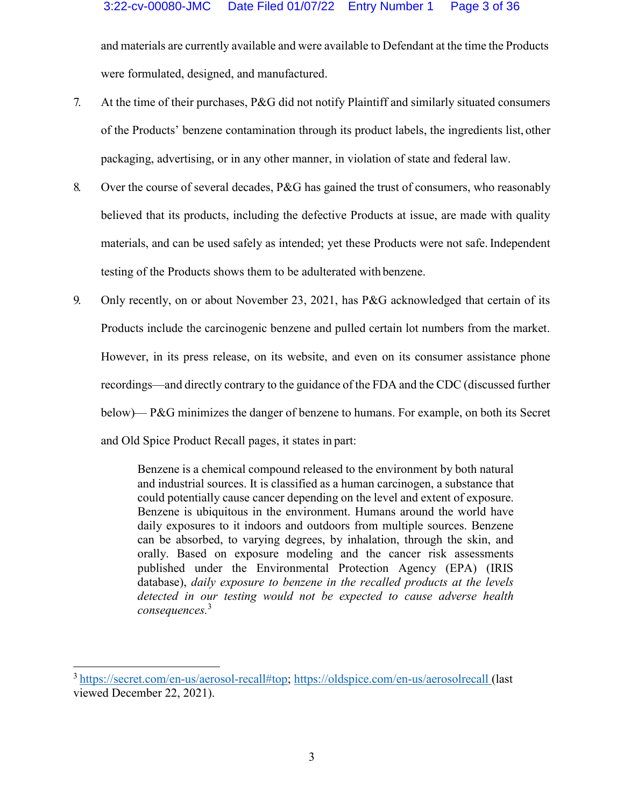and materials are currently available and were available to Defendant at the time the Products were formulated, designed, and manufactured.

- 7. At the time of their purchases, P&G did not notify Plaintiff and similarly situated consumers of the Products' benzene contamination through its product labels, the ingredients list, other packaging, advertising, or in any other manner, in violation of state and federal law.
- 8. Over the course of several decades, P&G has gained the trust of consumers, who reasonably believed that its products, including the defective Products at issue, are made with quality materials, and can be used safely as intended; yet these Products were not safe. Independent testing of the Products shows them to be adulterated with benzene.
- 9. Only recently, on or about November 23, 2021, has P&G acknowledged that certain of its Products include the carcinogenic benzene and pulled certain lot numbers from the market. However, in its press release, on its website, and even on its consumer assistance phone recordings—and directly contrary to the guidance of the FDA and the CDC (discussed further below)— P&G minimizes the danger of benzene to humans. For example, on both its Secret and Old Spice Product Recall pages, it states in part:

Benzene is a chemical compound released to the environment by both natural and industrial sources. It is classified as a human carcinogen, a substance that could potentially cause cancer depending on the level and extent of exposure. Benzene is ubiquitous in the environment. Humans around the world have daily exposures to it indoors and outdoors from multiple sources. Benzene can be absorbed, to varying degrees, by inhalation, through the skin, and orally. Based on exposure modeling and the cancer risk assessments published under the Environmental Protection Agency (EPA) (IRIS database), *daily exposure to benzene in the recalled products at the levels detected in our testing would not be expected to cause adverse health consequences.*<sup>3</sup>

<sup>3</sup> https://secret.com/en-us/aerosol-recall#top; https://oldspice.com/en-us/aerosolrecall (last viewed December 22, 2021).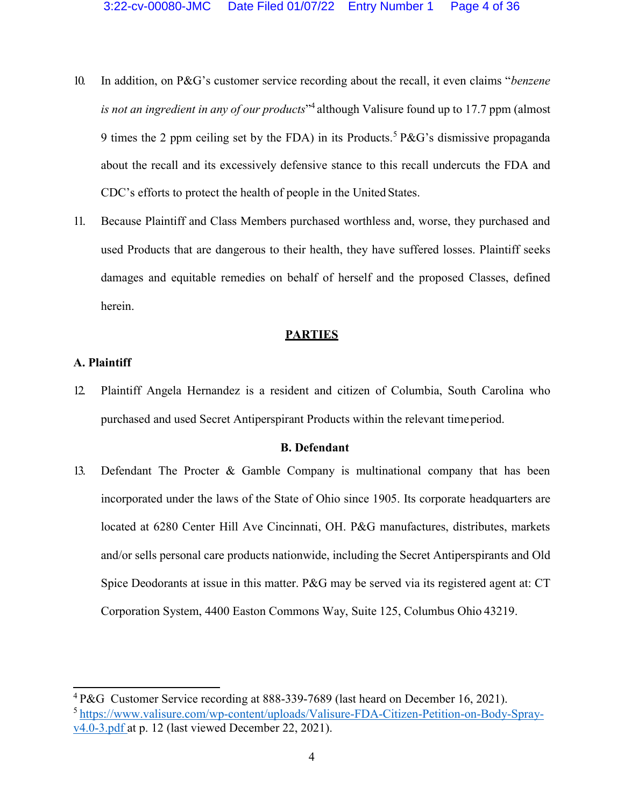- 10. In addition, on P&G's customer service recording about the recall, it even claims *"benzene is not an ingredient in any of our products*´<sup>4</sup> although Valisure found up to 17.7 ppm (almost 9 times the 2 ppm ceiling set by the FDA) in its Products.<sup>5</sup> P&G's dismissive propaganda about the recall and its excessively defensive stance to this recall undercuts the FDA and CDC's efforts to protect the health of people in the United States.
- 11. Because Plaintiff and Class Members purchased worthless and, worse, they purchased and used Products that are dangerous to their health, they have suffered losses. Plaintiff seeks damages and equitable remedies on behalf of herself and the proposed Classes, defined herein.

#### **PARTIES**

#### **A. Plaintiff**

12. Plaintiff Angela Hernandez is a resident and citizen of Columbia, South Carolina who purchased and used Secret Antiperspirant Products within the relevant timeperiod.

#### **B. Defendant**

13. Defendant The Procter & Gamble Company is multinational company that has been incorporated under the laws of the State of Ohio since 1905. Its corporate headquarters are located at 6280 Center Hill Ave Cincinnati, OH. P&G manufactures, distributes, markets and/or sells personal care products nationwide, including the Secret Antiperspirants and Old Spice Deodorants at issue in this matter. P&G may be served via its registered agent at: CT Corporation System, 4400 Easton Commons Way, Suite 125, Columbus Ohio 43219.

<sup>4</sup> P&G Customer Service recording at 888-339-7689 (last heard on December 16, 2021). [5 https://www.valisure.com/wp-content/uploads/Valisure-FDA-Citizen-Petition-on-Body-Spray](http://www.valisure.com/wp-content/uploads/Valisure-FDA-Citizen-Petition-on-Body-Spray-)v4.0-3.pdf at p. 12 (last viewed December 22, 2021).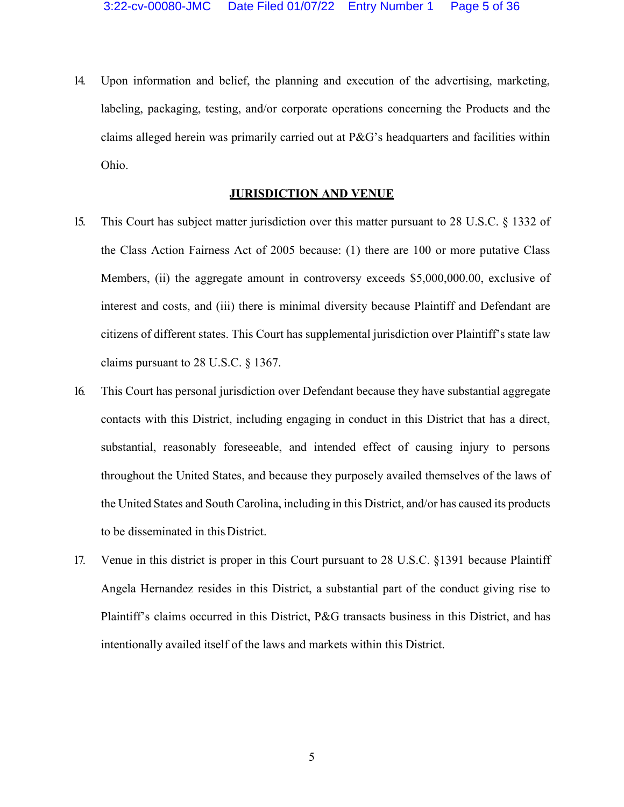14. Upon information and belief, the planning and execution of the advertising, marketing, labeling, packaging, testing, and/or corporate operations concerning the Products and the claims alleged herein was primarily carried out at  $P\&G$ 's headquarters and facilities within Ohio.

#### **JURISDICTION AND VENUE**

- 15. This Court has subject matter jurisdiction over this matter pursuant to 28 U.S.C. § 1332 of the Class Action Fairness Act of 2005 because: (1) there are 100 or more putative Class Members, (ii) the aggregate amount in controversy exceeds \$5,000,000.00, exclusive of interest and costs, and (iii) there is minimal diversity because Plaintiff and Defendant are citizens of different states. This Court has supplemental jurisdiction over Plaintiff's state law claims pursuant to 28 U.S.C. § 1367.
- 16. This Court has personal jurisdiction over Defendant because they have substantial aggregate contacts with this District, including engaging in conduct in this District that has a direct, substantial, reasonably foreseeable, and intended effect of causing injury to persons throughout the United States, and because they purposely availed themselves of the laws of the United States and South Carolina, including in this District, and/or has caused its products to be disseminated in this District.
- 17. Venue in this district is proper in this Court pursuant to 28 U.S.C. §1391 because Plaintiff Angela Hernandez resides in this District, a substantial part of the conduct giving rise to Plaintiff's claims occurred in this District, P&G transacts business in this District, and has intentionally availed itself of the laws and markets within this District.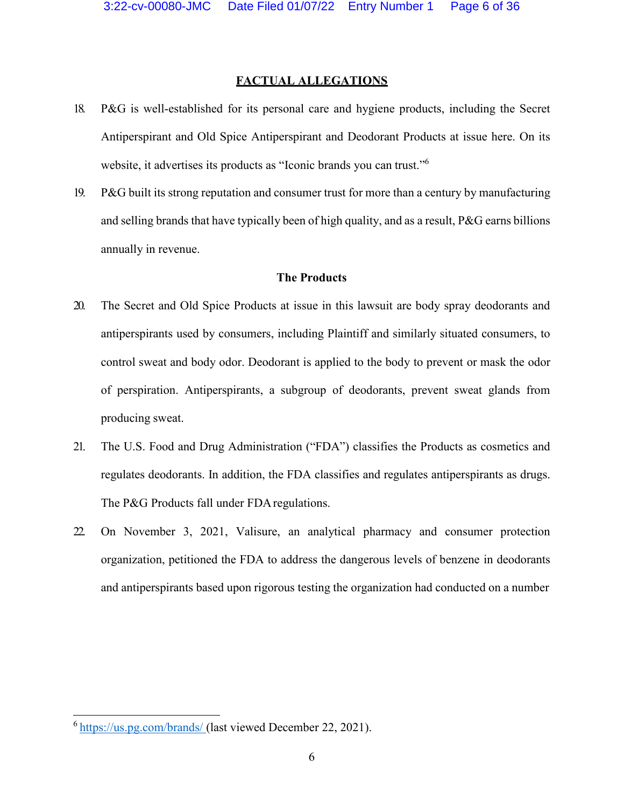#### **FACTUAL ALLEGATIONS**

- 18. P&G is well-established for its personal care and hygiene products, including the Secret Antiperspirant and Old Spice Antiperspirant and Deodorant Products at issue here. On its website, it advertises its products as "Iconic brands you can trust."<sup>6</sup>
- 19. P&G built its strong reputation and consumer trust for more than a century by manufacturing and selling brands that have typically been of high quality, and as a result, P&G earns billions annually in revenue.

### **The Products**

- 20. The Secret and Old Spice Products at issue in this lawsuit are body spray deodorants and antiperspirants used by consumers, including Plaintiff and similarly situated consumers, to control sweat and body odor. Deodorant is applied to the body to prevent or mask the odor of perspiration. Antiperspirants, a subgroup of deodorants, prevent sweat glands from producing sweat.
- 21. The U.S. Food and Drug Administration ("FDA") classifies the Products as cosmetics and regulates deodorants. In addition, the FDA classifies and regulates antiperspirants as drugs. The P&G Products fall under FDA regulations.
- 22. On November 3, 2021, Valisure, an analytical pharmacy and consumer protection organization, petitioned the FDA to address the dangerous levels of benzene in deodorants and antiperspirants based upon rigorous testing the organization had conducted on a number

<sup>6</sup> https://us.pg.com/brands/ (last viewed December 22, 2021).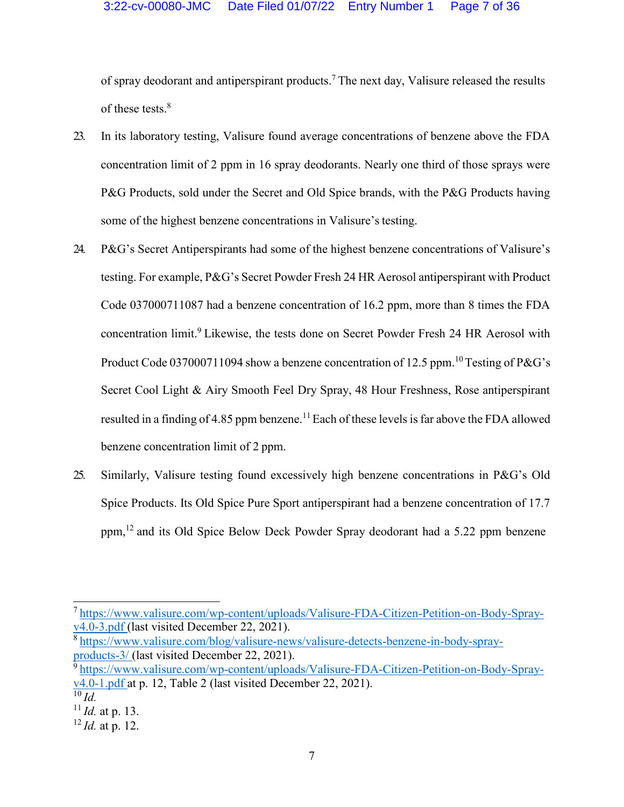of spray deodorant and antiperspirant products.7 The next day, Valisure released the results of these tests.<sup>8</sup>

- 23. In its laboratory testing, Valisure found average concentrations of benzene above the FDA concentration limit of 2 ppm in 16 spray deodorants. Nearly one third of those sprays were P&G Products, sold under the Secret and Old Spice brands, with the P&G Products having some of the highest benzene concentrations in Valisure's testing.
- 24. P&G's Secret Antiperspirants had some of the highest benzene concentrations of Valisure's testing. For example, P&G's Secret Powder Fresh 24 HR Aerosol antiperspirant with Product Code 037000711087 had a benzene concentration of 16.2 ppm, more than 8 times the FDA concentration limit.<sup>9</sup> Likewise, the tests done on Secret Powder Fresh 24 HR Aerosol with Product Code 037000711094 show a benzene concentration of 12.5 ppm.<sup>10</sup> Testing of P&G's Secret Cool Light & Airy Smooth Feel Dry Spray, 48 Hour Freshness, Rose antiperspirant resulted in a finding of 4.85 ppm benzene.<sup>11</sup> Each of these levels is far above the FDA allowed benzene concentration limit of 2 ppm.
- 25. Similarly, Valisure testing found excessively high benzene concentrations in P&G's Old Spice Products. Its Old Spice Pure Sport antiperspirant had a benzene concentration of 17.7 ppm,<sup>12</sup> and its Old Spice Below Deck Powder Spray deodorant had a 5.22 ppm benzene

[8 https://www.valisure.com/blog/valisure-news/valisure-detects-benzene-in-body-spray](http://www.valisure.com/blog/valisure-news/valisure-detects-benzene-in-body-spray-)products-3/ (last visited December 22, 2021).

[<sup>7</sup> https://www.valisure.com/wp-content/uploads/Valisure-FDA-Citizen-Petition-on-Body-Spray](http://www.valisure.com/wp-content/uploads/Valisure-FDA-Citizen-Petition-on-Body-Spray-)v4.0-3.pdf (last visited December 22, 2021).

[<sup>9</sup> https://www.valisure.com/wp-content/uploads/Valisure-FDA-Citizen-Petition-on-Body-Spray](http://www.valisure.com/wp-content/uploads/Valisure-FDA-Citizen-Petition-on-Body-Spray-) $v4.0-1.$  pdf at p. 12, Table 2 (last visited December 22, 2021).  $\overline{^{10}}$ *Id.* 

<sup>11</sup>*Id.* at p. 13.

<sup>12</sup>*Id.* at p. 12.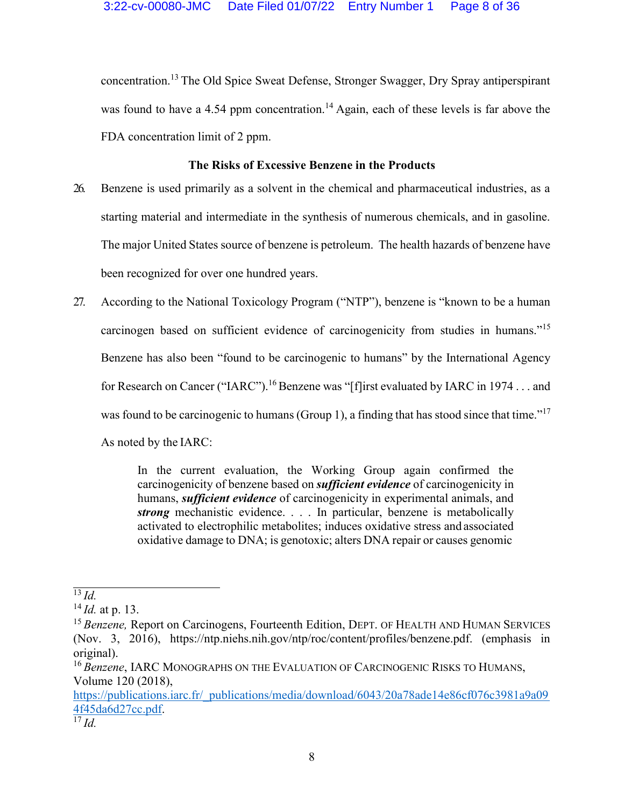concentration.13 The Old Spice Sweat Defense, Stronger Swagger, Dry Spray antiperspirant was found to have a 4.54 ppm concentration.<sup>14</sup> Again, each of these levels is far above the FDA concentration limit of 2 ppm.

# **The Risks of Excessive Benzene in the Products**

- 26. Benzene is used primarily as a solvent in the chemical and pharmaceutical industries, as a starting material and intermediate in the synthesis of numerous chemicals, and in gasoline. The major United States source of benzene is petroleum. The health hazards of benzene have been recognized for over one hundred years.
- 27. According to the National Toxicology Program ("NTP"), benzene is "known to be a human carcinogen based on sufficient evidence of carcinogenicity from studies in humans. $15$ Benzene has also been "found to be carcinogenic to humans" by the International Agency for Research on Cancer ("IARC").<sup>16</sup> Benzene was "[f]irst evaluated by IARC in 1974 . . . and was found to be carcinogenic to humans (Group 1), a finding that has stood since that time.<sup> $17$ </sup> As noted by the IARC:

In the current evaluation, the Working Group again confirmed the carcinogenicity of benzene based on *sufficient evidence* of carcinogenicity in humans, *sufficient evidence* of carcinogenicity in experimental animals, and *strong* mechanistic evidence. . . . In particular, benzene is metabolically activated to electrophilic metabolites; induces oxidative stress and associated oxidative damage to DNA; is genotoxic; alters DNA repair or causes genomic

https://publications.iarc.fr/\_publications/media/download/6043/20a78ade14e86cf076c3981a9a09 4f45da6d27cc.pdf.

 $\overline{^{13}$ *Id.* 

<sup>14</sup>*Id.* at p. 13.

<sup>&</sup>lt;sup>15</sup> Benzene, Report on Carcinogens, Fourteenth Edition, DEPT. OF HEALTH AND HUMAN SERVICES (Nov. 3, 2016), https://ntp.niehs.nih.gov/ntp/roc/content/profiles/benzene.pdf. (emphasis in original).

<sup>16</sup>*Benzene*, IARC MONOGRAPHS ON THE EVALUATION OF CARCINOGENIC RISKS TO HUMANS, Volume 120 (2018),

<sup>17</sup>*Id.*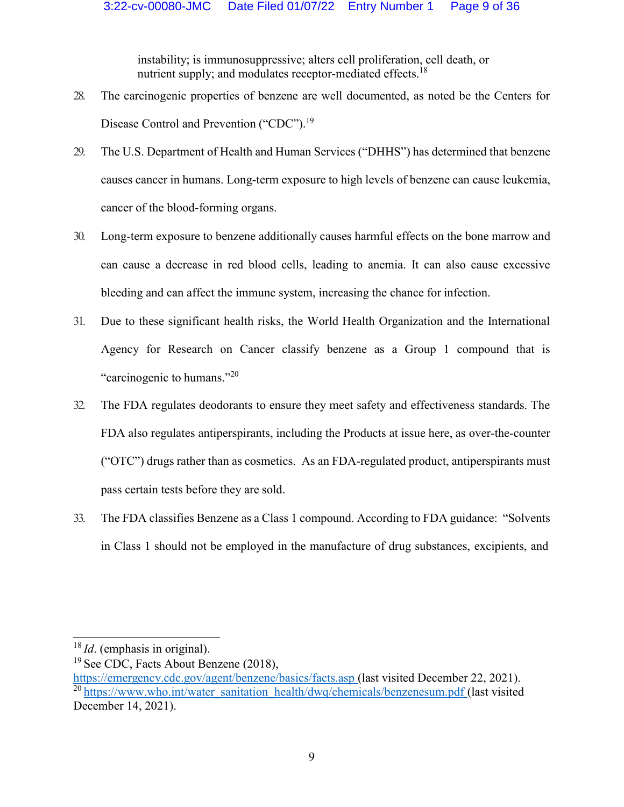instability; is immunosuppressive; alters cell proliferation, cell death, or nutrient supply; and modulates receptor-mediated effects.<sup>18</sup>

- 28. The carcinogenic properties of benzene are well documented, as noted be the Centers for Disease Control and Prevention ("CDC").<sup>19</sup>
- 29. The U.S. Department of Health and Human Services ("DHHS") has determined that benzene causes cancer in humans. Long-term exposure to high levels of benzene can cause leukemia, cancer of the blood-forming organs.
- 30. Long-term exposure to benzene additionally causes harmful effects on the bone marrow and can cause a decrease in red blood cells, leading to anemia. It can also cause excessive bleeding and can affect the immune system, increasing the chance for infection.
- 31. Due to these significant health risks, the World Health Organization and the International Agency for Research on Cancer classify benzene as a Group 1 compound that is "carcinogenic to humans." $^{20}$
- 32. The FDA regulates deodorants to ensure they meet safety and effectiveness standards. The FDA also regulates antiperspirants, including the Products at issue here, as over-the-counter (³OTC´) drugs rather than as cosmetics. As an FDA-regulated product, antiperspirants must pass certain tests before they are sold.
- 33. The FDA classifies Benzene as a Class 1 compound. According to FDA guidance: "Solvents" in Class 1 should not be employed in the manufacture of drug substances, excipients, and

<sup>18</sup>*Id*. (emphasis in original).

<sup>&</sup>lt;sup>19</sup> See CDC, Facts About Benzene (2018),

https://emergency.cdc.gov/agent/benzene/basics/facts.asp (last visited December 22, 2021). <sup>20</sup> https://www.who.int/water\_sanitation\_health/dwq/chemicals/benzenesum.pdf (last visited December 14, 2021).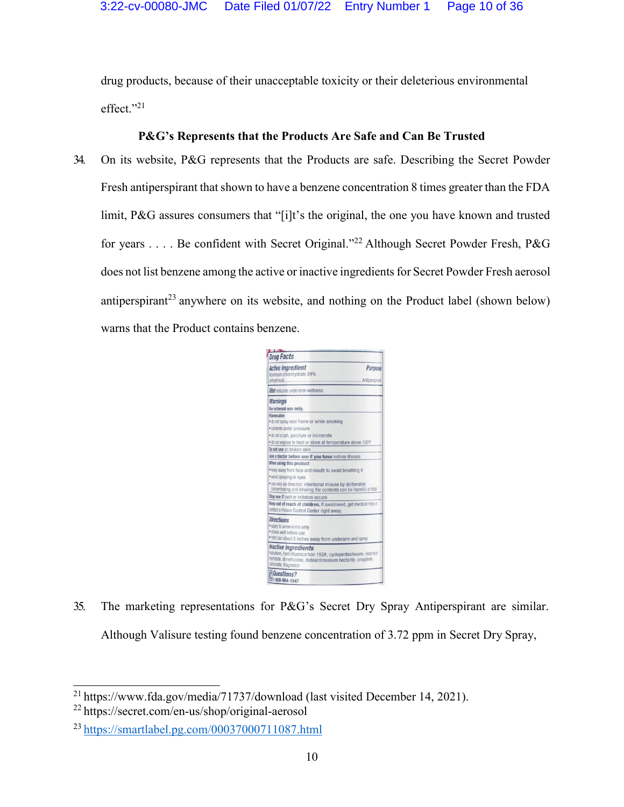drug products, because of their unacceptable toxicity or their deleterious environmental  $effect."$ <sup>21</sup>

# **P&G's Represents that the Products Are Safe and Can Be Trusted**

34. On its website, P&G represents that the Products are safe. Describing the Secret Powder Fresh antiperspirant that shown to have a benzene concentration 8 times greater than the FDA limit, P&G assures consumers that "[i]t's the original, the one you have known and trusted for years . . . . Be confident with Secret Original.<sup>"22</sup> Although Secret Powder Fresh, P&G does not list benzene among the active or inactive ingredients for Secret Powder Fresh aerosol antiperspirant<sup>23</sup> anywhere on its website, and nothing on the Product label (shown below) warns that the Product contains benzene.

| <b>Drug Facts</b>                                                                                                                                                                                                                             |                           |
|-----------------------------------------------------------------------------------------------------------------------------------------------------------------------------------------------------------------------------------------------|---------------------------|
| <b>Active ingredient</b><br>Auminum chlorohydrate 24%<br>janhydrous)                                                                                                                                                                          | Purpose<br>Antipersoirant |
| Use reduces underarm wetness                                                                                                                                                                                                                  |                           |
| <b>Warnings</b><br>For external use only.                                                                                                                                                                                                     |                           |
| Flammahle<br>. do not spray near flame or while smoking<br>· contents under pressure<br>· do not crush, puncture or incinerate<br>. to not expose to heat or store at temperature above 120°F<br>Do not use on broken skin                    |                           |
| ksk a doctor before use if you have kidney disease                                                                                                                                                                                            |                           |
| When using this product<br>. keep away from face and mouth to avoid breathing it<br>· avoid spraying in eyes<br>· use only as directed; intentional misuse by deliberately<br>concentrating and inhaling the contents can be harmful or fatal |                           |
| Stop use if rash or irritation occurs<br>Keep out of reach of children. If swallowed, get medical help or<br>contact a Poison Control Center right away.                                                                                      |                           |
| <b>Directions</b><br>· apply to underarms only<br>· shake well before use<br>. hold can about 6 inches away from underarm and spray                                                                                                           |                           |
| Inactive ingredients<br>liobutane, hydrofluorocarbon 152A, cyclopentasiloxane, isopropyl<br>myistate, dimethicone, disteardimonium hectorite, propylene<br>carbonate, fragrance                                                               |                           |
| Questions?<br>1-800-964-1947                                                                                                                                                                                                                  |                           |

35. The marketing representations for P&G's Secret Dry Spray Antiperspirant are similar. Although Valisure testing found benzene concentration of 3.72 ppm in Secret Dry Spray,

<sup>2</sup>[1 https://www.fda.gov/media/71737/download](http://www.fda.gov/media/71737/download) (last visited December 14, 2021).

<sup>22</sup> https://secret.com/en-us/shop/original-aerosol

<sup>23</sup> https://smartlabel.pg.com/00037000711087.html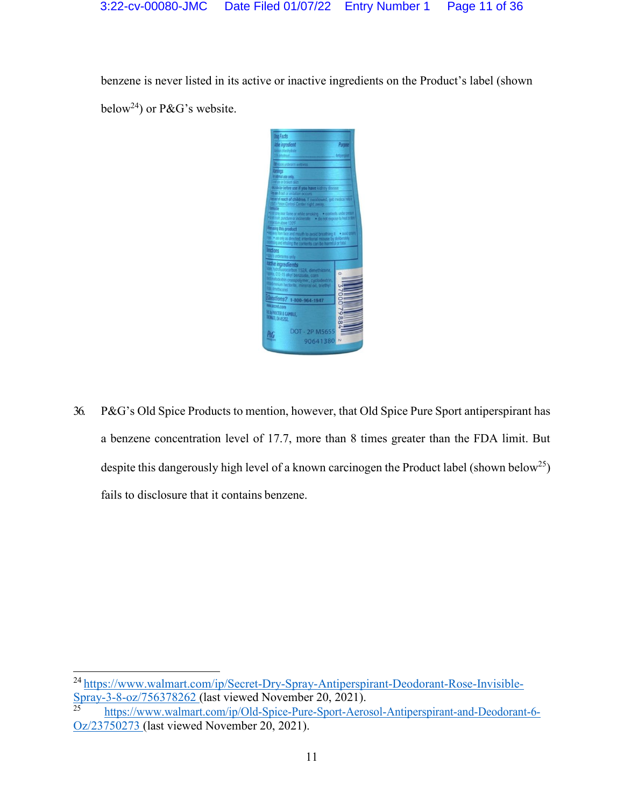benzene is never listed in its active or inactive ingredients on the Product's label (shown below<sup>24</sup>) or P&G's website.



36. P&G's Old Spice Products to mention, however, that Old Spice Pure Sport antiperspirant has a benzene concentration level of 17.7, more than 8 times greater than the FDA limit. But despite this dangerously high level of a known carcinogen the Product label (shown below<sup>25</sup>) fails to disclosure that it contains benzene.

<sup>2</sup>[4 https://www.walmart.com/ip/Secret-Dry-Spray-Antiperspirant-Deodorant-Rose-Invisible-](http://www.walmart.com/ip/Secret-Dry-Spray-Antiperspirant-Deodorant-Rose-Invisible-)Spray-3-8-oz/756378262 (last viewed November 20, 2021).

<sup>25</sup> [https://www.walmart.c](http://www.walmart.com/ip/Old-Spice-Pure-Sport-Aerosol-Antiperspirant-and-Deodorant-6-)om/i[p/Old-Spice-Pure-Sport-Aerosol-Antiperspirant-and-Deodorant-6-](http://www.walmart.com/ip/Old-Spice-Pure-Sport-Aerosol-Antiperspirant-and-Deodorant-6-) Oz/23750273 (last viewed November 20, 2021).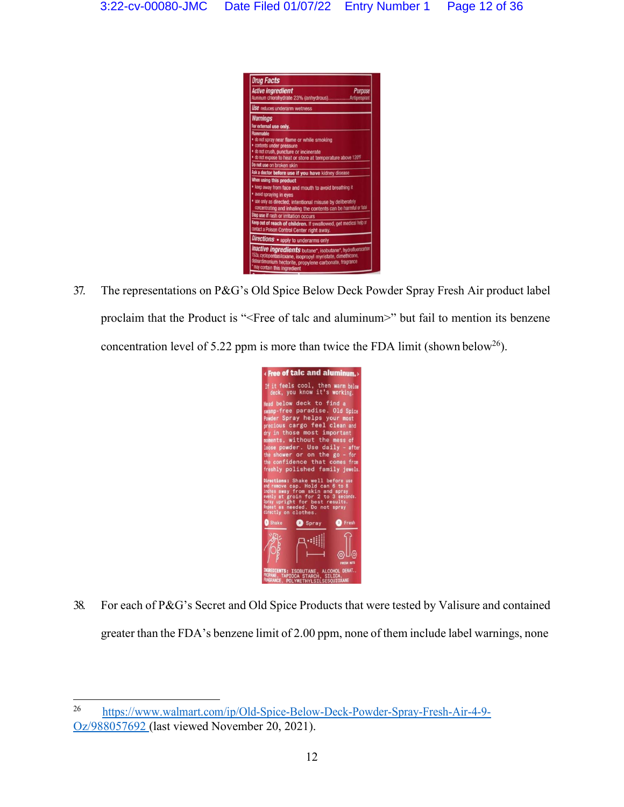

37. The representations on P&G's Old Spice Below Deck Powder Spray Fresh Air product label proclaim that the Product is "<Free of talc and aluminum>" but fail to mention its benzene concentration level of 5.22 ppm is more than twice the FDA limit (shown below<sup>26</sup>).



38. For each of P&G's Secret and Old Spice Products that were tested by Valisure and contained greater than the FDA's benzene limit of 2.00 ppm, none of them include label warnings, none

<sup>26</sup> [https://www.walmart.c](http://www.walmart.com/ip/Old-Spice-Below-Deck-Powder-Spray-Fresh-Air-4-9-)om/i[p/Old-Spice-Below-Deck-Powder-Spray-Fresh-Air-4-9-](http://www.walmart.com/ip/Old-Spice-Below-Deck-Powder-Spray-Fresh-Air-4-9-) Oz/988057692 (last viewed November 20, 2021).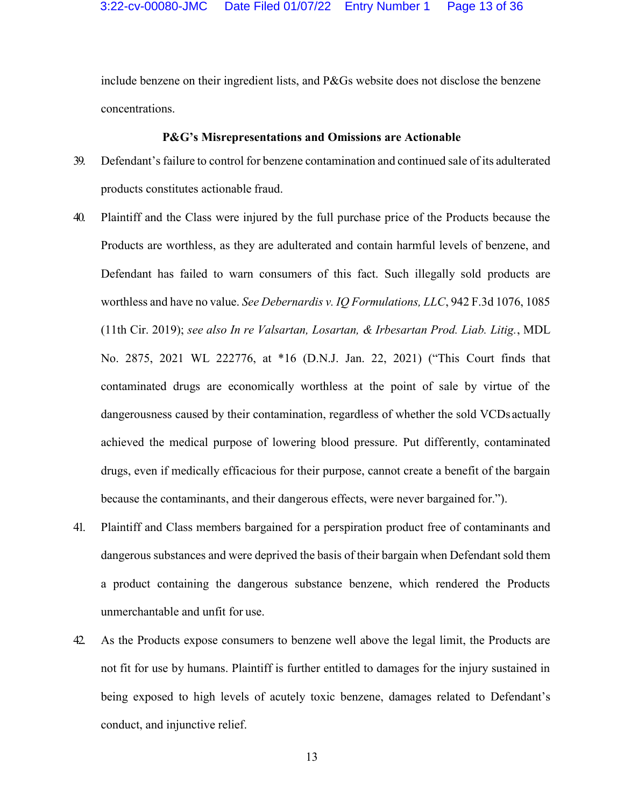include benzene on their ingredient lists, and P&Gs website does not disclose the benzene concentrations.

#### **P&G's Misrepresentations and Omissions are Actionable**

- 39. Defendant's failure to control for benzene contamination and continued sale of its adulterated products constitutes actionable fraud.
- 40. Plaintiff and the Class were injured by the full purchase price of the Products because the Products are worthless, as they are adulterated and contain harmful levels of benzene, and Defendant has failed to warn consumers of this fact. Such illegally sold products are worthless and have no value. *See Debernardis v. IQ Formulations, LLC*, 942 F.3d 1076, 1085 (11th Cir. 2019); *see also In re Valsartan, Losartan, & Irbesartan Prod. Liab. Litig.*, MDL No. 2875, 2021 WL 222776, at \*16 (D.N.J. Jan. 22, 2021) ("This Court finds that contaminated drugs are economically worthless at the point of sale by virtue of the dangerousness caused by their contamination, regardless of whether the sold VCDs actually achieved the medical purpose of lowering blood pressure. Put differently, contaminated drugs, even if medically efficacious for their purpose, cannot create a benefit of the bargain because the contaminants, and their dangerous effects, were never bargained for.´).
- 41. Plaintiff and Class members bargained for a perspiration product free of contaminants and dangerous substances and were deprived the basis of their bargain when Defendant sold them a product containing the dangerous substance benzene, which rendered the Products unmerchantable and unfit for use.
- 42. As the Products expose consumers to benzene well above the legal limit, the Products are not fit for use by humans. Plaintiff is further entitled to damages for the injury sustained in being exposed to high levels of acutely toxic benzene, damages related to Defendant's conduct, and injunctive relief.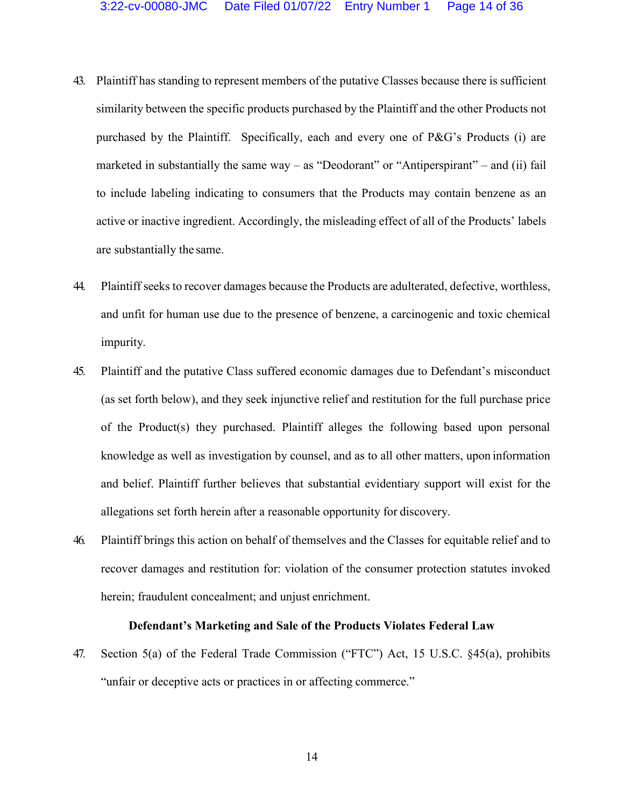- 43. Plaintiff has standing to represent members of the putative Classes because there is sufficient similarity between the specific products purchased by the Plaintiff and the other Products not purchased by the Plaintiff. Specifically, each and every one of P&G's Products (i) are marketed in substantially the same way  $-\text{ as }$  "Deodorant" or "Antiperspirant"  $-\text{ and }$  (ii) fail to include labeling indicating to consumers that the Products may contain benzene as an active or inactive ingredient. Accordingly, the misleading effect of all of the Products' labels are substantially the same.
- 44. Plaintiff seeks to recover damages because the Products are adulterated, defective, worthless, and unfit for human use due to the presence of benzene, a carcinogenic and toxic chemical impurity.
- 45. Plaintiff and the putative Class suffered economic damages due to Defendant's misconduct (as set forth below), and they seek injunctive relief and restitution for the full purchase price of the Product(s) they purchased. Plaintiff alleges the following based upon personal knowledge as well as investigation by counsel, and as to all other matters, upon information and belief. Plaintiff further believes that substantial evidentiary support will exist for the allegations set forth herein after a reasonable opportunity for discovery.
- 46. Plaintiff brings this action on behalf of themselves and the Classes for equitable relief and to recover damages and restitution for: violation of the consumer protection statutes invoked herein; fraudulent concealment; and unjust enrichment.

#### **Defendant's Marketing and Sale of the Products Violates Federal Law**

47. Section 5(a) of the Federal Trade Commission ("FTC") Act, 15 U.S.C. §45(a), prohibits "unfair or deceptive acts or practices in or affecting commerce."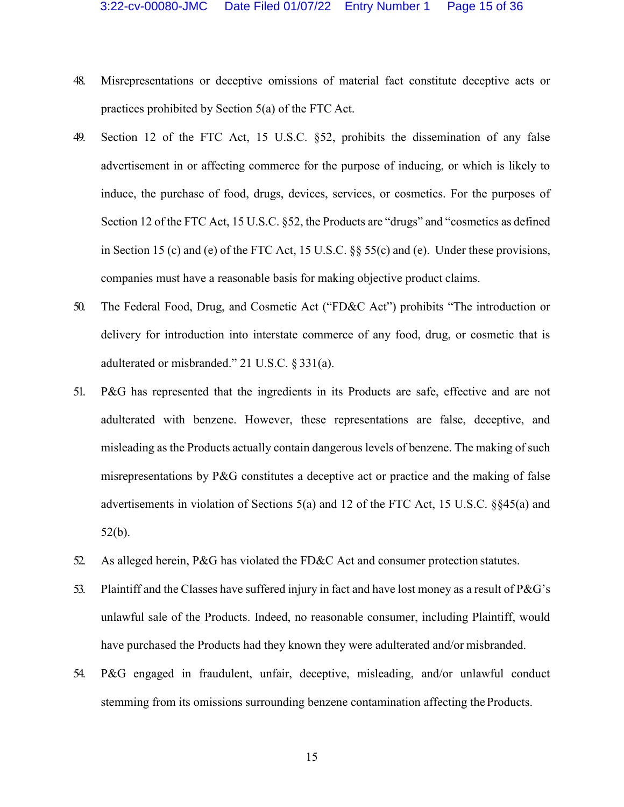- 48. Misrepresentations or deceptive omissions of material fact constitute deceptive acts or practices prohibited by Section 5(a) of the FTC Act.
- 49. Section 12 of the FTC Act, 15 U.S.C. §52, prohibits the dissemination of any false advertisement in or affecting commerce for the purpose of inducing, or which is likely to induce, the purchase of food, drugs, devices, services, or cosmetics. For the purposes of Section 12 of the FTC Act, 15 U.S.C.  $\S$ 52, the Products are "drugs" and "cosmetics as defined in Section 15 (c) and (e) of the FTC Act, 15 U.S.C. §§ 55(c) and (e). Under these provisions, companies must have a reasonable basis for making objective product claims.
- 50. The Federal Food, Drug, and Cosmetic Act ("FD&C Act") prohibits "The introduction or delivery for introduction into interstate commerce of any food, drug, or cosmetic that is adulterated or misbranded." 21 U.S.C.  $\S 331(a)$ .
- 51. P&G has represented that the ingredients in its Products are safe, effective and are not adulterated with benzene. However, these representations are false, deceptive, and misleading as the Products actually contain dangerous levels of benzene. The making of such misrepresentations by P&G constitutes a deceptive act or practice and the making of false advertisements in violation of Sections 5(a) and 12 of the FTC Act, 15 U.S.C. §§45(a) and 52(b).
- 52. As alleged herein, P&G has violated the FD&C Act and consumer protection statutes.
- 53. Plaintiff and the Classes have suffered injury in fact and have lost money as a result of P&G's unlawful sale of the Products. Indeed, no reasonable consumer, including Plaintiff, would have purchased the Products had they known they were adulterated and/or misbranded.
- 54. P&G engaged in fraudulent, unfair, deceptive, misleading, and/or unlawful conduct stemming from its omissions surrounding benzene contamination affecting the Products.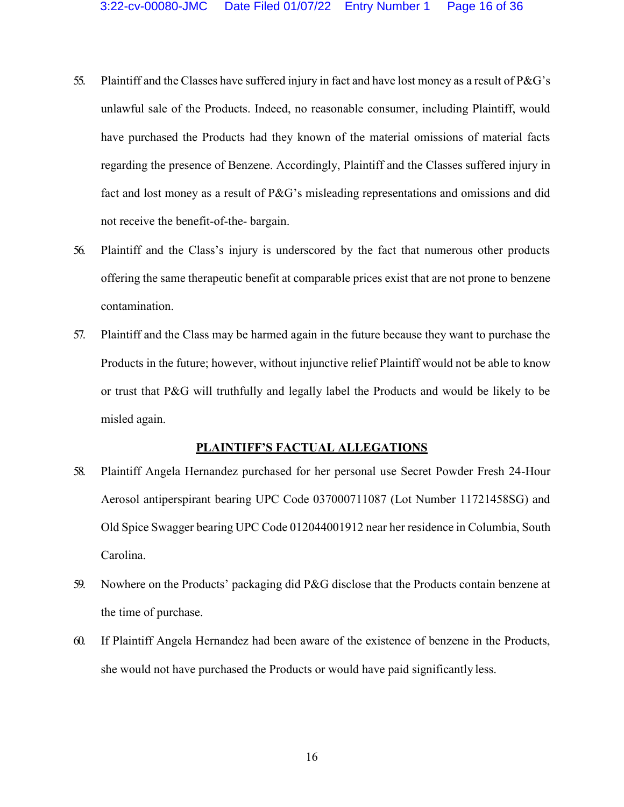- 55. Plaintiff and the Classes have suffered injury in fact and have lost money as a result of  $P\&G$ 's unlawful sale of the Products. Indeed, no reasonable consumer, including Plaintiff, would have purchased the Products had they known of the material omissions of material facts regarding the presence of Benzene. Accordingly, Plaintiff and the Classes suffered injury in fact and lost money as a result of P&G's misleading representations and omissions and did not receive the benefit-of-the- bargain.
- 56. Plaintiff and the Class's injury is underscored by the fact that numerous other products offering the same therapeutic benefit at comparable prices exist that are not prone to benzene contamination.
- 57. Plaintiff and the Class may be harmed again in the future because they want to purchase the Products in the future; however, without injunctive relief Plaintiff would not be able to know or trust that P&G will truthfully and legally label the Products and would be likely to be misled again.

### **PLAINTIFF'S FACTUAL ALLEGATIONS**

- 58. Plaintiff Angela Hernandez purchased for her personal use Secret Powder Fresh 24-Hour Aerosol antiperspirant bearing UPC Code 037000711087 (Lot Number 11721458SG) and Old Spice Swagger bearing UPC Code 012044001912 near her residence in Columbia, South Carolina.
- 59. Nowhere on the Products' packaging did P&G disclose that the Products contain benzene at the time of purchase.
- 60. If Plaintiff Angela Hernandez had been aware of the existence of benzene in the Products, she would not have purchased the Products or would have paid significantly less.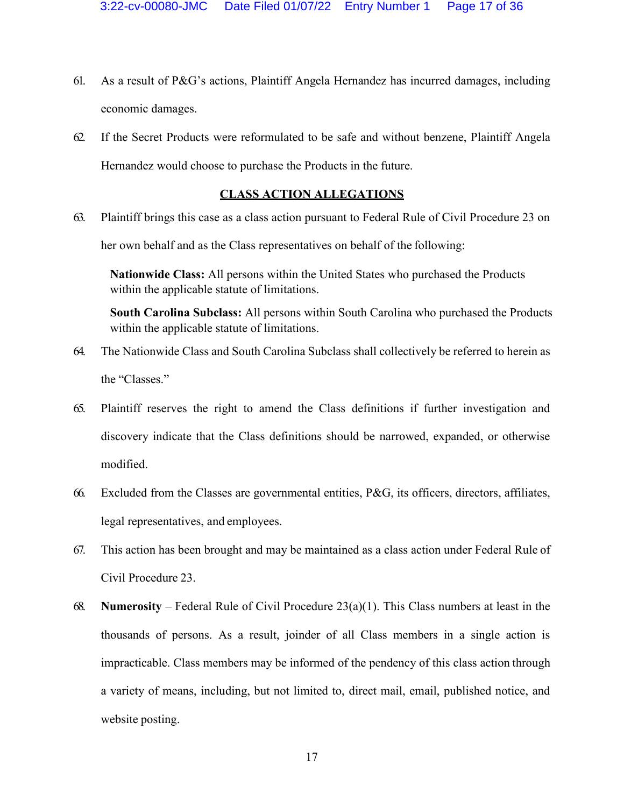- 61. As a result of P&G's actions, Plaintiff Angela Hernandez has incurred damages, including economic damages.
- 62. If the Secret Products were reformulated to be safe and without benzene, Plaintiff Angela Hernandez would choose to purchase the Products in the future.

# **CLASS ACTION ALLEGATIONS**

63. Plaintiff brings this case as a class action pursuant to Federal Rule of Civil Procedure 23 on her own behalf and as the Class representatives on behalf of the following:

**Nationwide Class:** All persons within the United States who purchased the Products within the applicable statute of limitations.

**South Carolina Subclass:** All persons within South Carolina who purchased the Products within the applicable statute of limitations.

- 64. The Nationwide Class and South Carolina Subclass shall collectively be referred to herein as the "Classes."
- 65. Plaintiff reserves the right to amend the Class definitions if further investigation and discovery indicate that the Class definitions should be narrowed, expanded, or otherwise modified.
- 66. Excluded from the Classes are governmental entities, P&G, its officers, directors, affiliates, legal representatives, and employees.
- 67. This action has been brought and may be maintained as a class action under Federal Rule of Civil Procedure 23.
- 68. **Numerosity** Federal Rule of Civil Procedure  $23(a)(1)$ . This Class numbers at least in the thousands of persons. As a result, joinder of all Class members in a single action is impracticable. Class members may be informed of the pendency of this class action through a variety of means, including, but not limited to, direct mail, email, published notice, and website posting.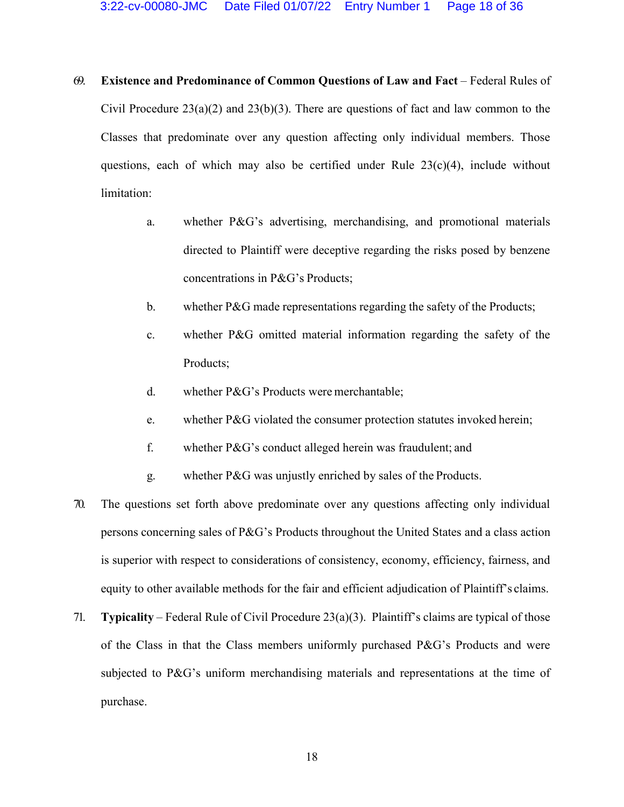- 69. **Existence and Predominance of Common Questions of Law and Fact** ± Federal Rules of Civil Procedure  $23(a)(2)$  and  $23(b)(3)$ . There are questions of fact and law common to the Classes that predominate over any question affecting only individual members. Those questions, each of which may also be certified under Rule  $23(c)(4)$ , include without limitation:
	- a. whether P&G's advertising, merchandising, and promotional materials directed to Plaintiff were deceptive regarding the risks posed by benzene concentrations in P&G's Products;
	- b. whether P&G made representations regarding the safety of the Products;
	- c. whether P&G omitted material information regarding the safety of the Products;
	- d. whether P&G's Products were merchantable;
	- e. whether P&G violated the consumer protection statutes invoked herein;
	- f. whether  $P\&G$ 's conduct alleged herein was fraudulent; and
	- g. whether P&G was unjustly enriched by sales of the Products.
- 70. The questions set forth above predominate over any questions affecting only individual persons concerning sales of P&G's Products throughout the United States and a class action is superior with respect to considerations of consistency, economy, efficiency, fairness, and equity to other available methods for the fair and efficient adjudication of Plaintiff's claims.
- 71. **Typicality** Federal Rule of Civil Procedure  $23(a)(3)$ . Plaintiff's claims are typical of those of the Class in that the Class members uniformly purchased  $P\&G$ 's Products and were subjected to P&G's uniform merchandising materials and representations at the time of purchase.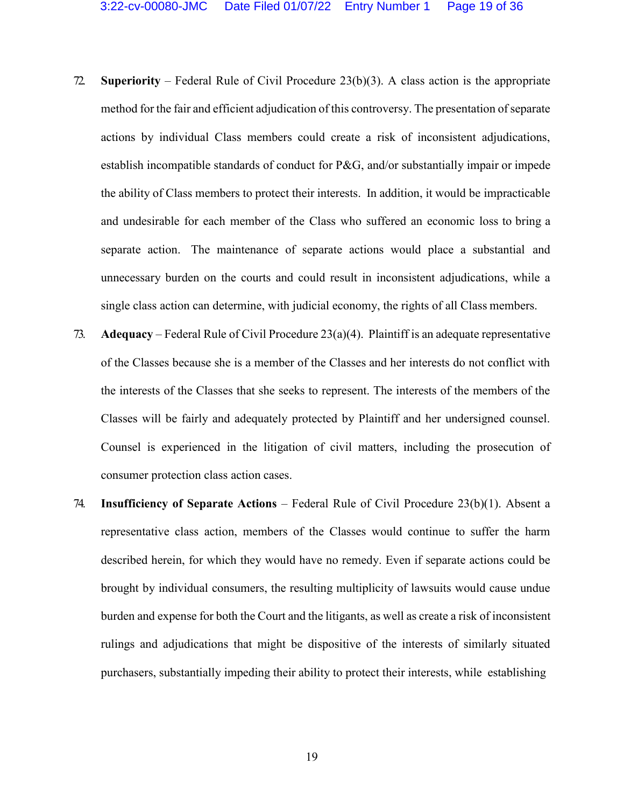- 72. **Superiority**  Federal Rule of CiYil Procedure 23(b)(3). A class action is the appropriate method for the fair and efficient adjudication of this controversy. The presentation of separate actions by individual Class members could create a risk of inconsistent adjudications, establish incompatible standards of conduct for P&G, and/or substantially impair or impede the ability of Class members to protect their interests. In addition, it would be impracticable and undesirable for each member of the Class who suffered an economic loss to bring a separate action. The maintenance of separate actions would place a substantial and unnecessary burden on the courts and could result in inconsistent adjudications, while a single class action can determine, with judicial economy, the rights of all Class members.
- 73. **Adequacy** Federal Rule of Civil Procedure  $23(a)(4)$ . Plaintiff is an adequate representative of the Classes because she is a member of the Classes and her interests do not conflict with the interests of the Classes that she seeks to represent. The interests of the members of the Classes will be fairly and adequately protected by Plaintiff and her undersigned counsel. Counsel is experienced in the litigation of civil matters, including the prosecution of consumer protection class action cases.
- 74. **Insufficiency of Separate Actions** Federal Rule of Civil Procedure 23(b)(1). Absent a representative class action, members of the Classes would continue to suffer the harm described herein, for which they would have no remedy. Even if separate actions could be brought by individual consumers, the resulting multiplicity of lawsuits would cause undue burden and expense for both the Court and the litigants, as well as create a risk of inconsistent rulings and adjudications that might be dispositive of the interests of similarly situated purchasers, substantially impeding their ability to protect their interests, while establishing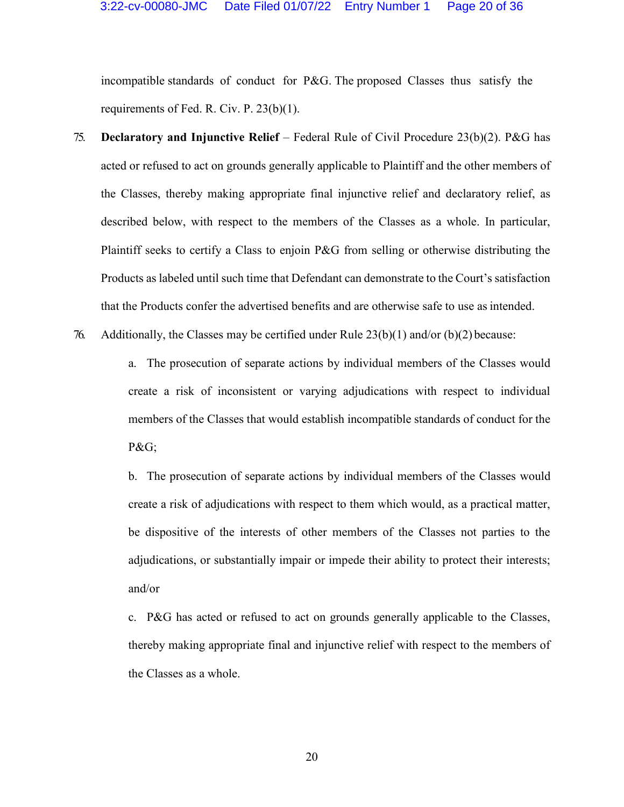incompatible standards of conduct for P&G. The proposed Classes thus satisfy the requirements of Fed. R. Civ. P. 23(b)(1).

- 75. **Declaratory and Injunctive Relief** Federal Rule of Civil Procedure 23(b)(2). P&G has acted or refused to act on grounds generally applicable to Plaintiff and the other members of the Classes, thereby making appropriate final injunctive relief and declaratory relief, as described below, with respect to the members of the Classes as a whole. In particular, Plaintiff seeks to certify a Class to enjoin P&G from selling or otherwise distributing the Products as labeled until such time that Defendant can demonstrate to the Court's satisfaction that the Products confer the advertised benefits and are otherwise safe to use asintended.
- 76. Additionally, the Classes may be certified under Rule  $23(b)(1)$  and/or  $(b)(2)$  because:

a. The prosecution of separate actions by individual members of the Classes would create a risk of inconsistent or varying adjudications with respect to individual members of the Classes that would establish incompatible standards of conduct for the P&G;

b. The prosecution of separate actions by individual members of the Classes would create a risk of adjudications with respect to them which would, as a practical matter, be dispositive of the interests of other members of the Classes not parties to the adjudications, or substantially impair or impede their ability to protect their interests; and/or

c. P&G has acted or refused to act on grounds generally applicable to the Classes, thereby making appropriate final and injunctive relief with respect to the members of the Classes as a whole.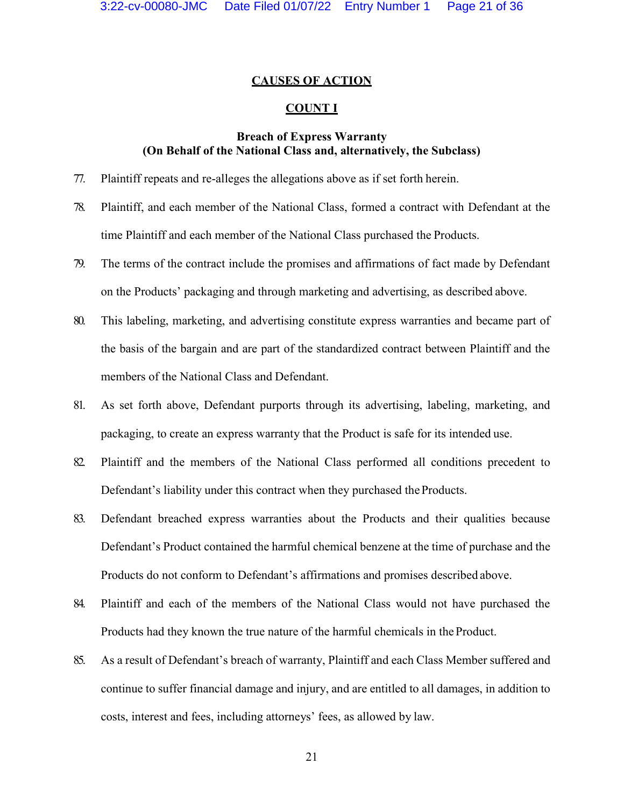## **CAUSES OF ACTION**

### **COUNT I**

## **Breach of Express Warranty (On Behalf of the National Class and, alternatively, the Subclass)**

- 77. Plaintiff repeats and re-alleges the allegations above as if set forth herein.
- 78. Plaintiff, and each member of the National Class, formed a contract with Defendant at the time Plaintiff and each member of the National Class purchased the Products.
- 79. The terms of the contract include the promises and affirmations of fact made by Defendant on the Products' packaging and through marketing and advertising, as described above.
- 80. This labeling, marketing, and advertising constitute express warranties and became part of the basis of the bargain and are part of the standardized contract between Plaintiff and the members of the National Class and Defendant.
- 81. As set forth above, Defendant purports through its advertising, labeling, marketing, and packaging, to create an express warranty that the Product is safe for its intended use.
- 82. Plaintiff and the members of the National Class performed all conditions precedent to Defendant's liability under this contract when they purchased the Products.
- 83. Defendant breached express warranties about the Products and their qualities because Defendant's Product contained the harmful chemical benzene at the time of purchase and the Products do not conform to Defendant's affirmations and promises described above.
- 84. Plaintiff and each of the members of the National Class would not have purchased the Products had they known the true nature of the harmful chemicals in the Product.
- 85. As a result of Defendant's breach of warranty, Plaintiff and each Class Member suffered and continue to suffer financial damage and injury, and are entitled to all damages, in addition to costs, interest and fees, including attorneys' fees, as allowed by law.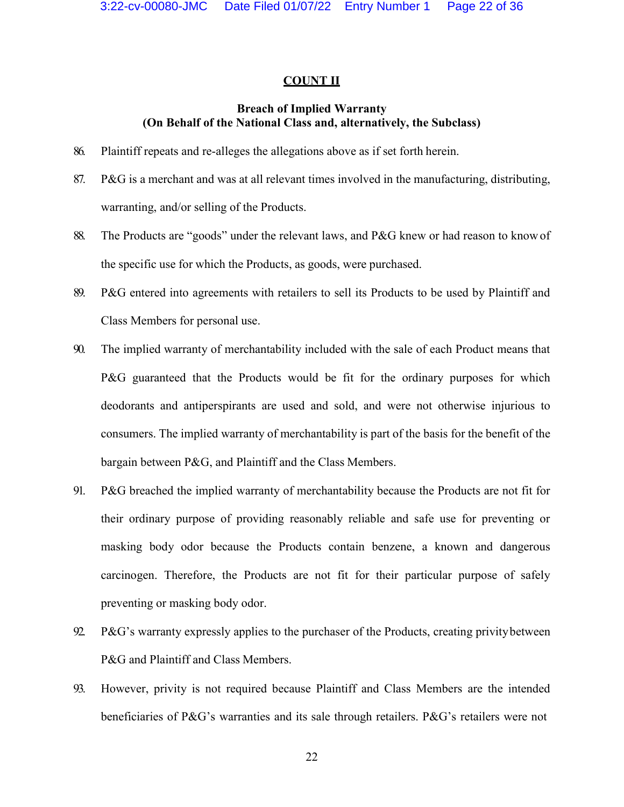#### **COUNT II**

## **Breach of Implied Warranty (On Behalf of the National Class and, alternatively, the Subclass)**

- 86. Plaintiff repeats and re-alleges the allegations above as if set forth herein.
- 87. P&G is a merchant and was at all relevant times involved in the manufacturing, distributing, warranting, and/or selling of the Products.
- 88. The Products are "goods" under the relevant laws, and P&G knew or had reason to know of the specific use for which the Products, as goods, were purchased.
- 89. P&G entered into agreements with retailers to sell its Products to be used by Plaintiff and Class Members for personal use.
- 90. The implied warranty of merchantability included with the sale of each Product means that P&G guaranteed that the Products would be fit for the ordinary purposes for which deodorants and antiperspirants are used and sold, and were not otherwise injurious to consumers. The implied warranty of merchantability is part of the basis for the benefit of the bargain between P&G, and Plaintiff and the Class Members.
- 91. P&G breached the implied warranty of merchantability because the Products are not fit for their ordinary purpose of providing reasonably reliable and safe use for preventing or masking body odor because the Products contain benzene, a known and dangerous carcinogen. Therefore, the Products are not fit for their particular purpose of safely preventing or masking body odor.
- 92. P&G's warranty expressly applies to the purchaser of the Products, creating privity between P&G and Plaintiff and Class Members.
- 93. However, privity is not required because Plaintiff and Class Members are the intended beneficiaries of P&G's warranties and its sale through retailers. P&G's retailers were not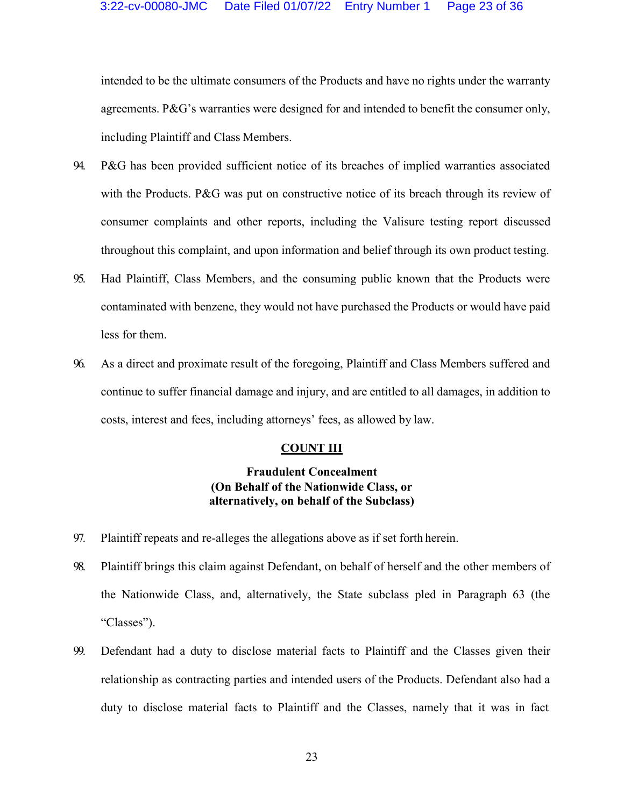intended to be the ultimate consumers of the Products and have no rights under the warranty agreements.  $P\&G$ 's warranties were designed for and intended to benefit the consumer only, including Plaintiff and Class Members.

- 94. P&G has been provided sufficient notice of its breaches of implied warranties associated with the Products. P&G was put on constructive notice of its breach through its review of consumer complaints and other reports, including the Valisure testing report discussed throughout this complaint, and upon information and belief through its own product testing.
- 95. Had Plaintiff, Class Members, and the consuming public known that the Products were contaminated with benzene, they would not have purchased the Products or would have paid less for them.
- 96. As a direct and proximate result of the foregoing, Plaintiff and Class Members suffered and continue to suffer financial damage and injury, and are entitled to all damages, in addition to costs, interest and fees, including attorneys' fees, as allowed by law.

# **COUNT III**

# **Fraudulent Concealment (On Behalf of the Nationwide Class, or alternatively, on behalf of the Subclass)**

- 97. Plaintiff repeats and re-alleges the allegations above as if set forth herein.
- 98. Plaintiff brings this claim against Defendant, on behalf of herself and the other members of the Nationwide Class, and, alternatively, the State subclass pled in Paragraph 63 (the "Classes").
- 99. Defendant had a duty to disclose material facts to Plaintiff and the Classes given their relationship as contracting parties and intended users of the Products. Defendant also had a duty to disclose material facts to Plaintiff and the Classes, namely that it was in fact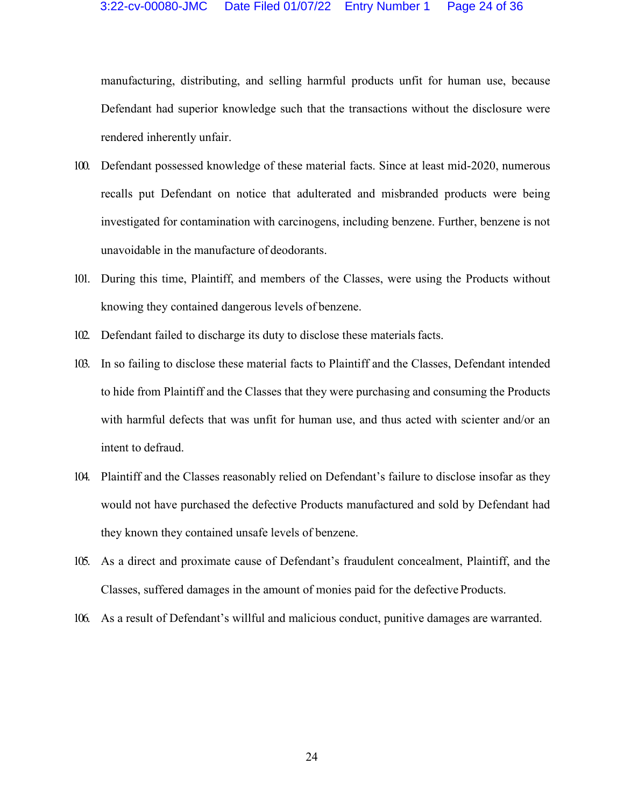manufacturing, distributing, and selling harmful products unfit for human use, because Defendant had superior knowledge such that the transactions without the disclosure were rendered inherently unfair.

- 100. Defendant possessed knowledge of these material facts. Since at least mid-2020, numerous recalls put Defendant on notice that adulterated and misbranded products were being investigated for contamination with carcinogens, including benzene. Further, benzene is not unavoidable in the manufacture of deodorants.
- 101. During this time, Plaintiff, and members of the Classes, were using the Products without knowing they contained dangerous levels of benzene.
- 102. Defendant failed to discharge its duty to disclose these materials facts.
- 103. In so failing to disclose these material facts to Plaintiff and the Classes, Defendant intended to hide from Plaintiff and the Classes that they were purchasing and consuming the Products with harmful defects that was unfit for human use, and thus acted with scienter and/or an intent to defraud.
- 104. Plaintiff and the Classes reasonably relied on Defendant's failure to disclose insofar as they would not have purchased the defective Products manufactured and sold by Defendant had they known they contained unsafe levels of benzene.
- 105. As a direct and proximate cause of Defendant's fraudulent concealment, Plaintiff, and the Classes, suffered damages in the amount of monies paid for the defective Products.
- 106. As a result of Defendant's willful and malicious conduct, punitive damages are warranted.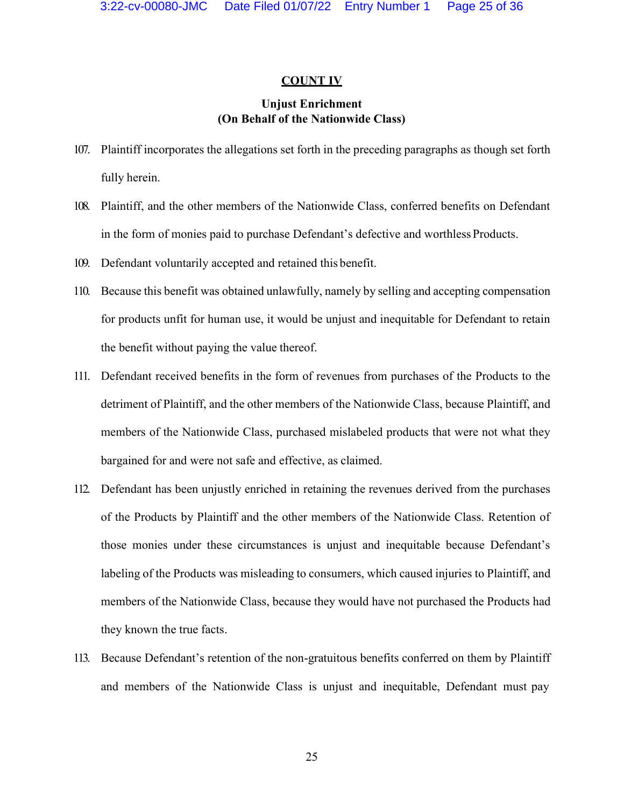#### **COUNT IV**

## **Unjust Enrichment (On Behalf of the Nationwide Class)**

- 107. Plaintiff incorporates the allegations set forth in the preceding paragraphs as though set forth fully herein.
- 108. Plaintiff, and the other members of the Nationwide Class, conferred benefits on Defendant in the form of monies paid to purchase Defendant's defective and worthless Products.
- 109. Defendant voluntarily accepted and retained this benefit.
- 110. Because this benefit was obtained unlawfully, namely by selling and accepting compensation for products unfit for human use, it would be unjust and inequitable for Defendant to retain the benefit without paying the value thereof.
- 111. Defendant received benefits in the form of revenues from purchases of the Products to the detriment of Plaintiff, and the other members of the Nationwide Class, because Plaintiff, and members of the Nationwide Class, purchased mislabeled products that were not what they bargained for and were not safe and effective, as claimed.
- 112. Defendant has been unjustly enriched in retaining the revenues derived from the purchases of the Products by Plaintiff and the other members of the Nationwide Class. Retention of those monies under these circumstances is unjust and inequitable because Defendant's labeling of the Products was misleading to consumers, which caused injuries to Plaintiff, and members of the Nationwide Class, because they would have not purchased the Products had they known the true facts.
- 113. Because Defendant's retention of the non-gratuitous benefits conferred on them by Plaintiff and members of the Nationwide Class is unjust and inequitable, Defendant must pay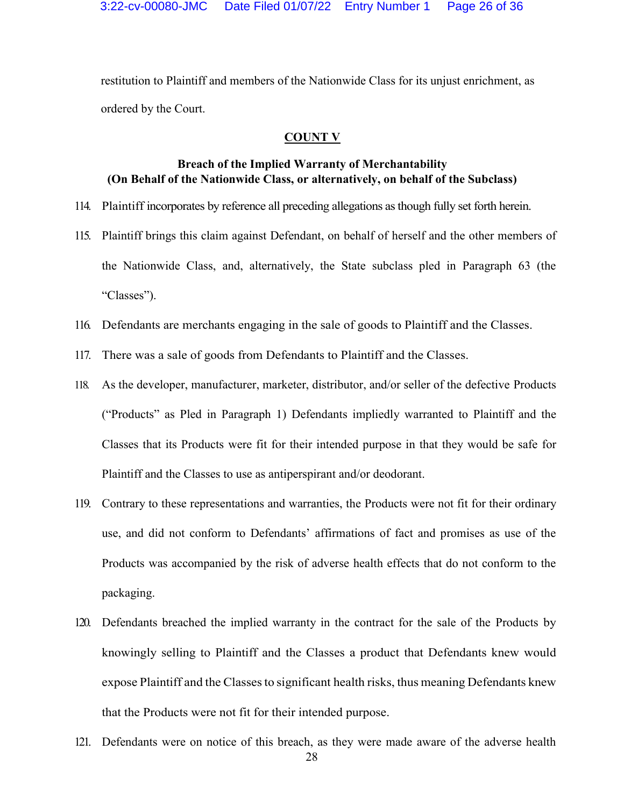restitution to Plaintiff and members of the Nationwide Class for its unjust enrichment, as ordered by the Court.

#### **COUNT V**

## **Breach of the Implied Warranty of Merchantability (On Behalf of the Nationwide Class, or alternatively, on behalf of the Subclass)**

- 114. Plaintiff incorporates by reference all preceding allegations as though fully set forth herein.
- 115. Plaintiff brings this claim against Defendant, on behalf of herself and the other members of the Nationwide Class, and, alternatively, the State subclass pled in Paragraph 63 (the "Classes").
- 116. Defendants are merchants engaging in the sale of goods to Plaintiff and the Classes.
- 117. There was a sale of goods from Defendants to Plaintiff and the Classes.
- 118. As the developer, manufacturer, marketer, distributor, and/or seller of the defective Products (³Products´ as Pled in Paragraph 1) Defendants impliedly warranted to Plaintiff and the Classes that its Products were fit for their intended purpose in that they would be safe for Plaintiff and the Classes to use as antiperspirant and/or deodorant.
- 119. Contrary to these representations and warranties, the Products were not fit for their ordinary use, and did not conform to Defendants' affirmations of fact and promises as use of the Products was accompanied by the risk of adverse health effects that do not conform to the packaging.
- 120. Defendants breached the implied warranty in the contract for the sale of the Products by knowingly selling to Plaintiff and the Classes a product that Defendants knew would expose Plaintiff and the Classes to significant health risks, thus meaning Defendants knew that the Products were not fit for their intended purpose.
- 121. Defendants were on notice of this breach, as they were made aware of the adverse health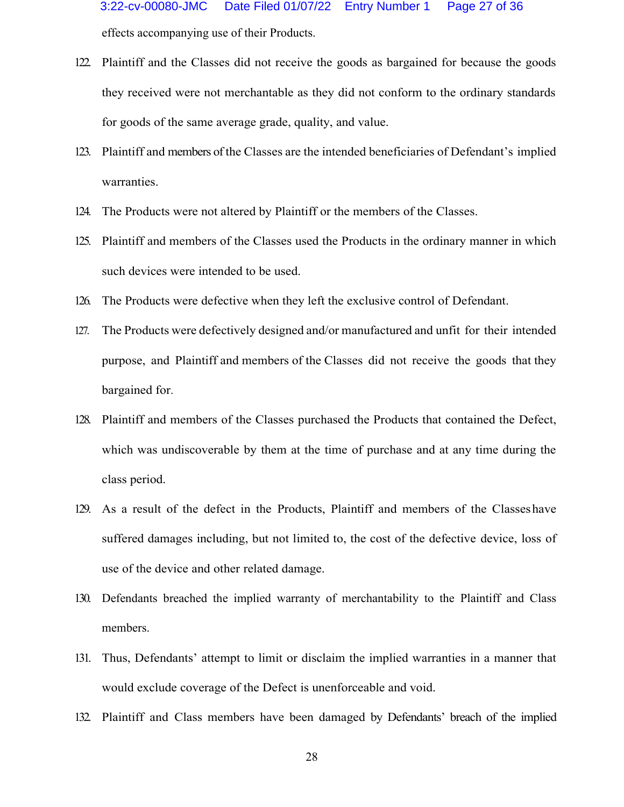- 122. Plaintiff and the Classes did not receive the goods as bargained for because the goods they received were not merchantable as they did not conform to the ordinary standards for goods of the same average grade, quality, and value.
- 123. Plaintiff and members of the Classes are the intended beneficiaries of Defendant's implied warranties.
- 124. The Products were not altered by Plaintiff or the members of the Classes.
- 125. Plaintiff and members of the Classes used the Products in the ordinary manner in which such devices were intended to be used.
- 126. The Products were defective when they left the exclusive control of Defendant.
- 127. The Products were defectively designed and/or manufactured and unfit for their intended purpose, and Plaintiff and members of the Classes did not receive the goods that they bargained for.
- 128. Plaintiff and members of the Classes purchased the Products that contained the Defect, which was undiscoverable by them at the time of purchase and at any time during the class period.
- 129. As a result of the defect in the Products, Plaintiff and members of the Classeshave suffered damages including, but not limited to, the cost of the defective device, loss of use of the device and other related damage.
- 130. Defendants breached the implied warranty of merchantability to the Plaintiff and Class members.
- 131. Thus, Defendants' attempt to limit or disclaim the implied warranties in a manner that would exclude coverage of the Defect is unenforceable and void.
- 132. Plaintiff and Class members have been damaged by Defendants' breach of the implied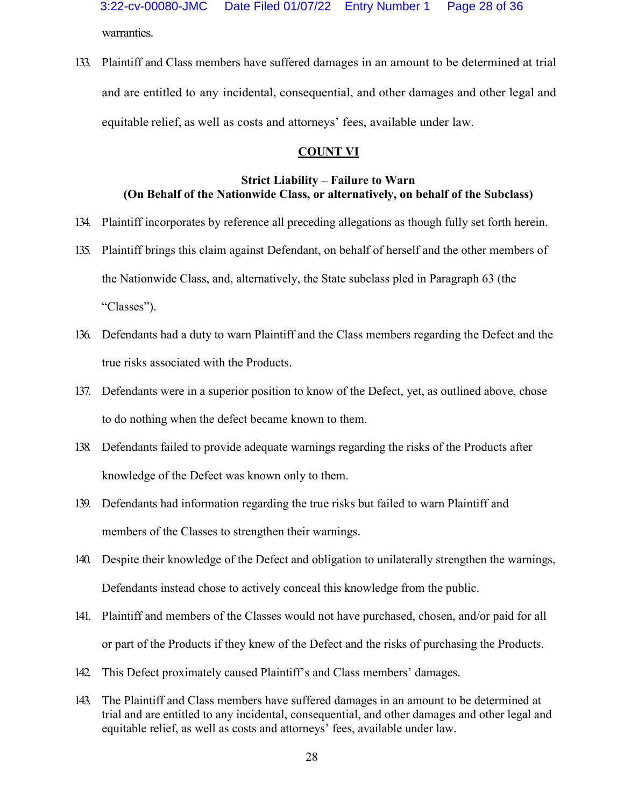warranties. 3:22-cv-00080-JMC Date Filed 01/07/22 Entry Number 1 Page 28 of 36

133. Plaintiff and Class members have suffered damages in an amount to be determined at trial and are entitled to any incidental, consequential, and other damages and other legal and equitable relief, as well as costs and attorneys' fees, available under law.

## **COUNT VI**

## **Strict Liability – Failure to Warn (On Behalf of the Nationwide Class, or alternatively, on behalf of the Subclass)**

- 134. Plaintiff incorporates by reference all preceding allegations as though fully set forth herein.
- 135. Plaintiff brings this claim against Defendant, on behalf of herself and the other members of the Nationwide Class, and, alternatively, the State subclass pled in Paragraph 63 (the "Classes").
- 136. Defendants had a duty to warn Plaintiff and the Class members regarding the Defect and the true risks associated with the Products.
- 137. Defendants were in a superior position to know of the Defect, yet, as outlined above, chose to do nothing when the defect became known to them.
- 138. Defendants failed to provide adequate warnings regarding the risks of the Products after knowledge of the Defect was known only to them.
- 139. Defendants had information regarding the true risks but failed to warn Plaintiff and members of the Classes to strengthen their warnings.
- 140. Despite their knowledge of the Defect and obligation to unilaterally strengthen the warnings, Defendants instead chose to actively conceal this knowledge from the public.
- 141. Plaintiff and members of the Classes would not have purchased, chosen, and/or paid for all or part of the Products if they knew of the Defect and the risks of purchasing the Products.
- 142. This Defect proximately caused Plaintiff's and Class members' damages.
- 143. The Plaintiff and Class members have suffered damages in an amount to be determined at trial and are entitled to any incidental, consequential, and other damages and other legal and equitable relief, as well as costs and attorneys' fees, available under law.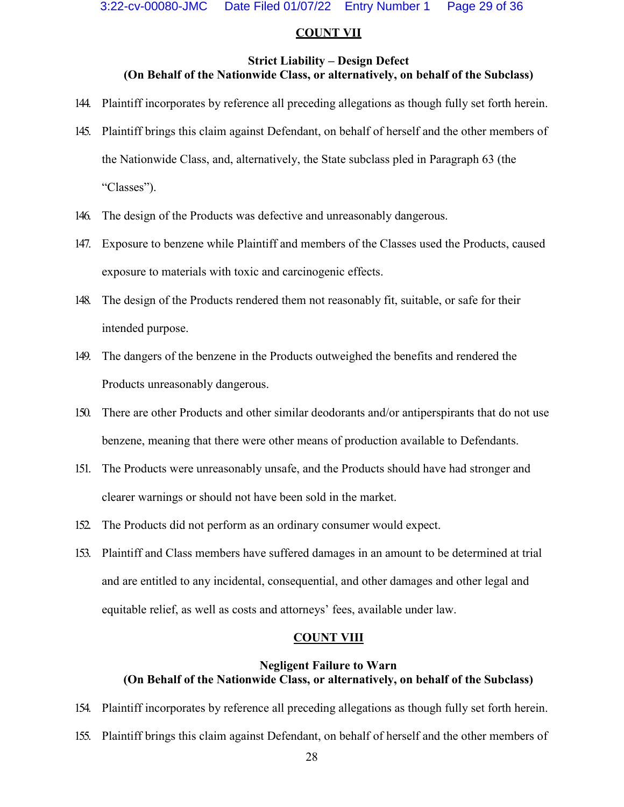#### **COUNT VII**

### **Strict Liability – Design Defect (On Behalf of the Nationwide Class, or alternatively, on behalf of the Subclass)**

- 144. Plaintiff incorporates by reference all preceding allegations as though fully set forth herein.
- 145. Plaintiff brings this claim against Defendant, on behalf of herself and the other members of the Nationwide Class, and, alternatively, the State subclass pled in Paragraph 63 (the "Classes").
- 146. The design of the Products was defective and unreasonably dangerous.
- 147. Exposure to benzene while Plaintiff and members of the Classes used the Products, caused exposure to materials with toxic and carcinogenic effects.
- 148. The design of the Products rendered them not reasonably fit, suitable, or safe for their intended purpose.
- 149. The dangers of the benzene in the Products outweighed the benefits and rendered the Products unreasonably dangerous.
- 150. There are other Products and other similar deodorants and/or antiperspirants that do not use benzene, meaning that there were other means of production available to Defendants.
- 151. The Products were unreasonably unsafe, and the Products should have had stronger and clearer warnings or should not have been sold in the market.
- 152. The Products did not perform as an ordinary consumer would expect.
- 153. Plaintiff and Class members have suffered damages in an amount to be determined at trial and are entitled to any incidental, consequential, and other damages and other legal and equitable relief, as well as costs and attorneys' fees, available under law.

#### **COUNT VIII**

## **Negligent Failure to Warn (On Behalf of the Nationwide Class, or alternatively, on behalf of the Subclass)**

- 154. Plaintiff incorporates by reference all preceding allegations as though fully set forth herein.
- 155. Plaintiff brings this claim against Defendant, on behalf of herself and the other members of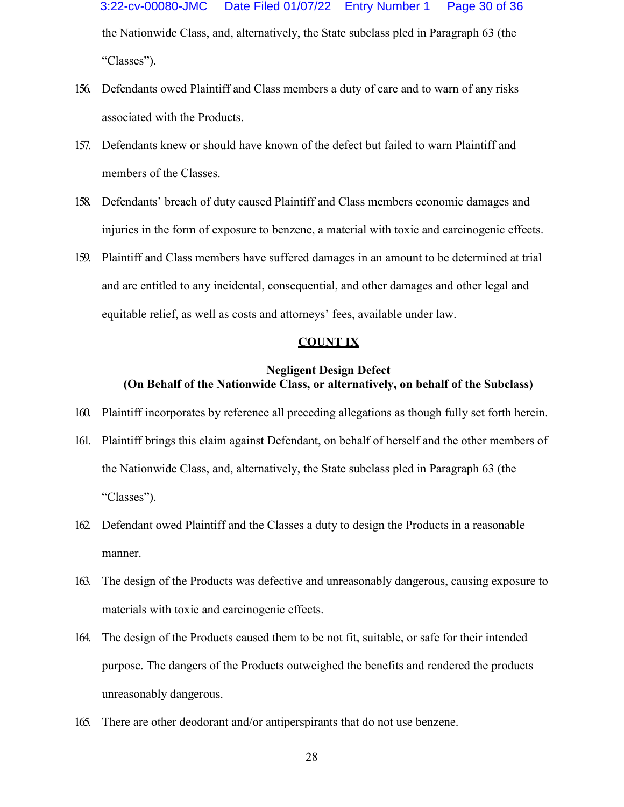the Nationwide Class, and, alternatively, the State subclass pled in Paragraph 63 (the "Classes"). 3:22-cv-00080-JMC Date Filed 01/07/22 Entry Number 1 Page 30 of 36

- 156. Defendants owed Plaintiff and Class members a duty of care and to warn of any risks associated with the Products.
- 157. Defendants knew or should have known of the defect but failed to warn Plaintiff and members of the Classes.
- 158. Defendants' breach of duty caused Plaintiff and Class members economic damages and injuries in the form of exposure to benzene, a material with toxic and carcinogenic effects.
- 159. Plaintiff and Class members have suffered damages in an amount to be determined at trial and are entitled to any incidental, consequential, and other damages and other legal and equitable relief, as well as costs and attorneys' fees, available under law.

## **COUNT IX**

## **Negligent Design Defect (On Behalf of the Nationwide Class, or alternatively, on behalf of the Subclass)**

- 160. Plaintiff incorporates by reference all preceding allegations as though fully set forth herein.
- 161. Plaintiff brings this claim against Defendant, on behalf of herself and the other members of the Nationwide Class, and, alternatively, the State subclass pled in Paragraph 63 (the "Classes").
- 162. Defendant owed Plaintiff and the Classes a duty to design the Products in a reasonable manner.
- 163. The design of the Products was defective and unreasonably dangerous, causing exposure to materials with toxic and carcinogenic effects.
- 164. The design of the Products caused them to be not fit, suitable, or safe for their intended purpose. The dangers of the Products outweighed the benefits and rendered the products unreasonably dangerous.
- 165. There are other deodorant and/or antiperspirants that do not use benzene.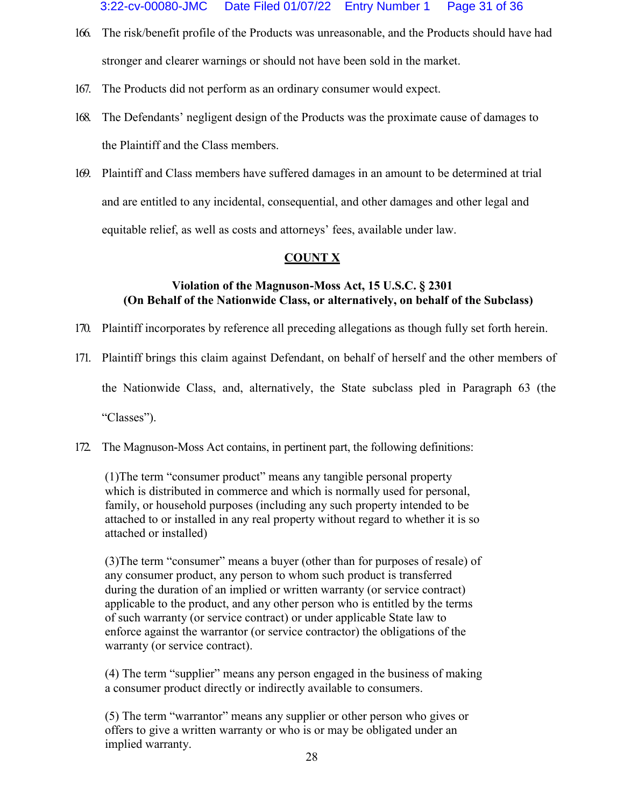- 166. The risk/benefit profile of the Products was unreasonable, and the Products should have had stronger and clearer warnings or should not have been sold in the market.
- 167. The Products did not perform as an ordinary consumer would expect.
- 168. The Defendants' negligent design of the Products was the proximate cause of damages to the Plaintiff and the Class members.
- 169. Plaintiff and Class members have suffered damages in an amount to be determined at trial and are entitled to any incidental, consequential, and other damages and other legal and equitable relief, as well as costs and attorneys' fees, available under law.

# **COUNT X**

# **Violation of the Magnuson-Moss Act, 15 U.S.C. § 2301 (On Behalf of the Nationwide Class, or alternatively, on behalf of the Subclass)**

- 170. Plaintiff incorporates by reference all preceding allegations as though fully set forth herein.
- 171. Plaintiff brings this claim against Defendant, on behalf of herself and the other members of

the Nationwide Class, and, alternatively, the State subclass pled in Paragraph 63 (the

"Classes").

172. The Magnuson-Moss Act contains, in pertinent part, the following definitions:

 $(1)$ The term "consumer product" means any tangible personal property which is distributed in commerce and which is normally used for personal, family, or household purposes (including any such property intended to be attached to or installed in any real property without regard to whether it is so attached or installed)

(3) The term "consumer" means a buyer (other than for purposes of resale) of any consumer product, any person to whom such product is transferred during the duration of an implied or written warranty (or service contract) applicable to the product, and any other person who is entitled by the terms of such warranty (or service contract) or under applicable State law to enforce against the warrantor (or service contractor) the obligations of the warranty (or service contract).

 $(4)$  The term "supplier" means any person engaged in the business of making a consumer product directly or indirectly available to consumers.

 $(5)$  The term "warrantor" means any supplier or other person who gives or offers to give a written warranty or who is or may be obligated under an implied warranty.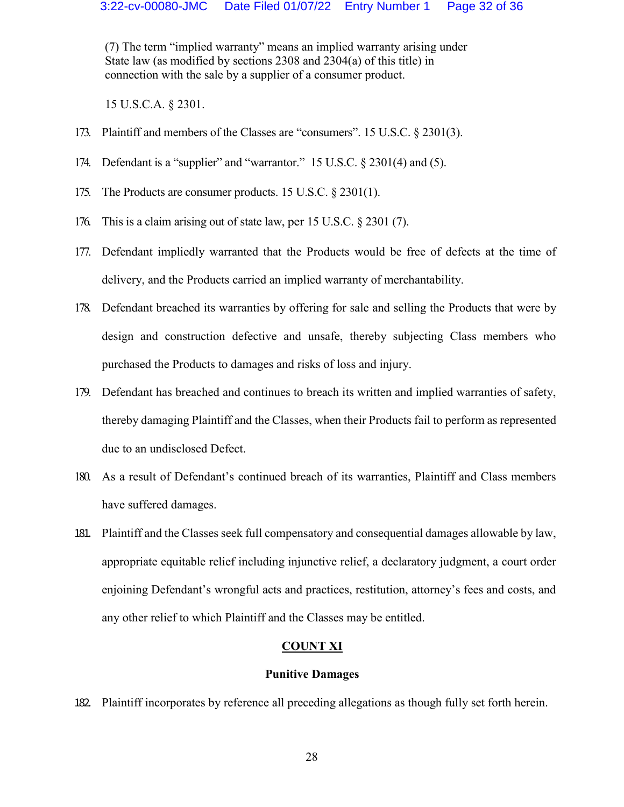$(7)$  The term "implied warranty" means an implied warranty arising under State law (as modified by sections 2308 and 2304(a) of this title) in connection with the sale by a supplier of a consumer product.

15 U.S.C.A. § 2301.

- 173. Plaintiff and members of the Classes are "consumers". 15 U.S.C.  $\S$  2301(3).
- 174. Defendant is a "supplier" and "warrantor."  $15$  U.S.C.  $\S$  2301(4) and (5).
- 175. The Products are consumer products. 15 U.S.C. § 2301(1).
- 176. This is a claim arising out of state law, per 15 U.S.C. § 2301 (7).
- 177. Defendant impliedly warranted that the Products would be free of defects at the time of delivery, and the Products carried an implied warranty of merchantability.
- 178. Defendant breached its warranties by offering for sale and selling the Products that were by design and construction defective and unsafe, thereby subjecting Class members who purchased the Products to damages and risks of loss and injury.
- 179. Defendant has breached and continues to breach its written and implied warranties of safety, thereby damaging Plaintiff and the Classes, when their Products fail to perform as represented due to an undisclosed Defect.
- 180. As a result of Defendant's continued breach of its warranties, Plaintiff and Class members have suffered damages.
- 181. Plaintiff and the Classes seek full compensatory and consequential damages allowable by law, appropriate equitable relief including injunctive relief, a declaratory judgment, a court order enjoining Defendant's wrongful acts and practices, restitution, attorney's fees and costs, and any other relief to which Plaintiff and the Classes may be entitled.

## **COUNT XI**

#### **Punitive Damages**

182. Plaintiff incorporates by reference all preceding allegations as though fully set forth herein.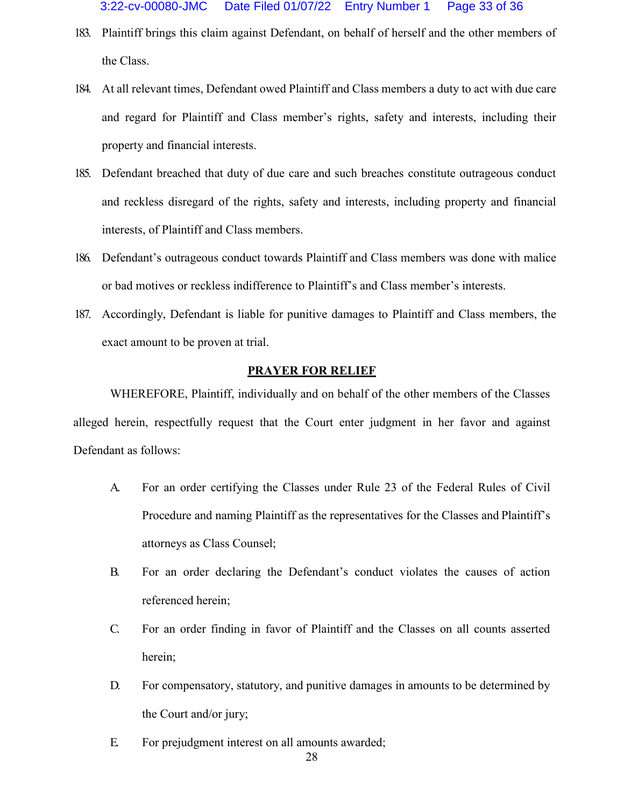- 183. Plaintiff brings this claim against Defendant, on behalf of herself and the other members of the Class.
- 184. At all relevant times, Defendant owed Plaintiff and Class members a duty to act with due care and regard for Plaintiff and Class member's rights, safety and interests, including their property and financial interests.
- 185. Defendant breached that duty of due care and such breaches constitute outrageous conduct and reckless disregard of the rights, safety and interests, including property and financial interests, of Plaintiff and Class members.
- 186. Defendant's outrageous conduct towards Plaintiff and Class members was done with malice or bad motives or reckless indifference to Plaintiff's and Class member's interests.
- 187. Accordingly, Defendant is liable for punitive damages to Plaintiff and Class members, the exact amount to be proven at trial.

#### **PRAYER FOR RELIEF**

WHEREFORE, Plaintiff, individually and on behalf of the other members of the Classes alleged herein, respectfully request that the Court enter judgment in her favor and against Defendant as follows:

- A. For an order certifying the Classes under Rule 23 of the Federal Rules of Civil Procedure and naming Plaintiff as the representatives for the Classes and Plaintiff's attorneys as Class Counsel;
- B. For an order declaring the Defendant's conduct violates the causes of action referenced herein;
- C. For an order finding in favor of Plaintiff and the Classes on all counts asserted herein;
- D. For compensatory, statutory, and punitive damages in amounts to be determined by the Court and/or jury;
- E. For prejudgment interest on all amounts awarded;